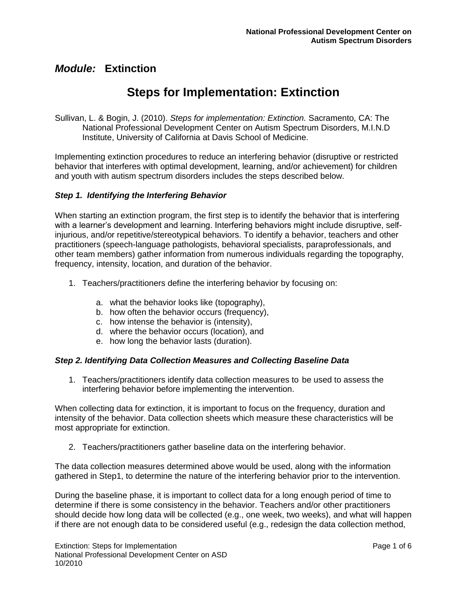# **Steps for Implementation: Extinction**

Sullivan, L. & Bogin, J. (2010). *Steps for implementation: Extinction.* Sacramento, CA: The National Professional Development Center on Autism Spectrum Disorders, M.I.N.D Institute, University of California at Davis School of Medicine.

Implementing extinction procedures to reduce an interfering behavior (disruptive or restricted behavior that interferes with optimal development, learning, and/or achievement) for children and youth with autism spectrum disorders includes the steps described below.

### *Step 1. Identifying the Interfering Behavior*

When starting an extinction program, the first step is to identify the behavior that is interfering with a learner's development and learning. Interfering behaviors might include disruptive, selfinjurious, and/or repetitive/stereotypical behaviors. To identify a behavior, teachers and other practitioners (speech-language pathologists, behavioral specialists, paraprofessionals, and other team members) gather information from numerous individuals regarding the topography, frequency, intensity, location, and duration of the behavior.

- 1. Teachers/practitioners define the interfering behavior by focusing on:
	- a. what the behavior looks like (topography),
	- b. how often the behavior occurs (frequency),
	- c. how intense the behavior is (intensity),
	- d. where the behavior occurs (location), and
	- e. how long the behavior lasts (duration).

### *Step 2. Identifying Data Collection Measures and Collecting Baseline Data*

1. Teachers/practitioners identify data collection measures to be used to assess the interfering behavior before implementing the intervention.

When collecting data for extinction, it is important to focus on the frequency, duration and intensity of the behavior. Data collection sheets which measure these characteristics will be most appropriate for extinction.

2. Teachers/practitioners gather baseline data on the interfering behavior.

The data collection measures determined above would be used, along with the information gathered in Step1, to determine the nature of the interfering behavior prior to the intervention.

During the baseline phase, it is important to collect data for a long enough period of time to determine if there is some consistency in the behavior. Teachers and/or other practitioners should decide how long data will be collected (e.g., one week, two weeks), and what will happen if there are not enough data to be considered useful (e.g., redesign the data collection method,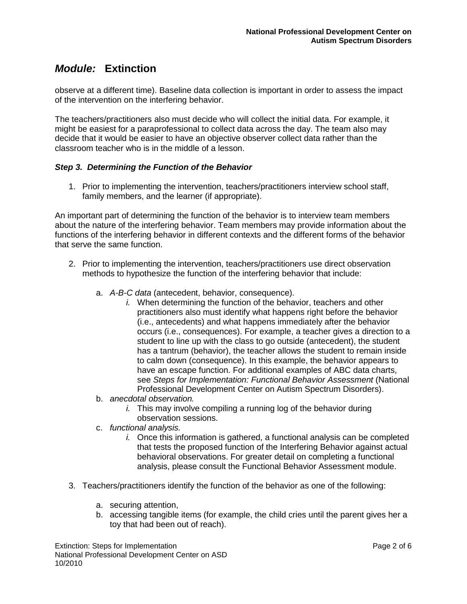observe at a different time). Baseline data collection is important in order to assess the impact of the intervention on the interfering behavior.

The teachers/practitioners also must decide who will collect the initial data. For example, it might be easiest for a paraprofessional to collect data across the day. The team also may decide that it would be easier to have an objective observer collect data rather than the classroom teacher who is in the middle of a lesson.

### *Step 3. Determining the Function of the Behavior*

1. Prior to implementing the intervention, teachers/practitioners interview school staff, family members, and the learner (if appropriate).

An important part of determining the function of the behavior is to interview team members about the nature of the interfering behavior. Team members may provide information about the functions of the interfering behavior in different contexts and the different forms of the behavior that serve the same function.

- 2. Prior to implementing the intervention, teachers/practitioners use direct observation methods to hypothesize the function of the interfering behavior that include:
	- a. *A-B-C data* (antecedent, behavior, consequence).
		- *i.* When determining the function of the behavior, teachers and other practitioners also must identify what happens right before the behavior (i.e., antecedents) and what happens immediately after the behavior occurs (i.e., consequences). For example, a teacher gives a direction to a student to line up with the class to go outside (antecedent), the student has a tantrum (behavior), the teacher allows the student to remain inside to calm down (consequence). In this example, the behavior appears to have an escape function. For additional examples of ABC data charts, see *Steps for Implementation: Functional Behavior Assessment* (National Professional Development Center on Autism Spectrum Disorders).
	- b. *anecdotal observation.* 
		- *i.* This may involve compiling a running log of the behavior during observation sessions.
	- c. *functional analysis.*
		- *i.* Once this information is gathered, a functional analysis can be completed that tests the proposed function of the Interfering Behavior against actual behavioral observations. For greater detail on completing a functional analysis, please consult the Functional Behavior Assessment module.
- 3. Teachers/practitioners identify the function of the behavior as one of the following:
	- a. securing attention,
	- b. accessing tangible items (for example, the child cries until the parent gives her a toy that had been out of reach).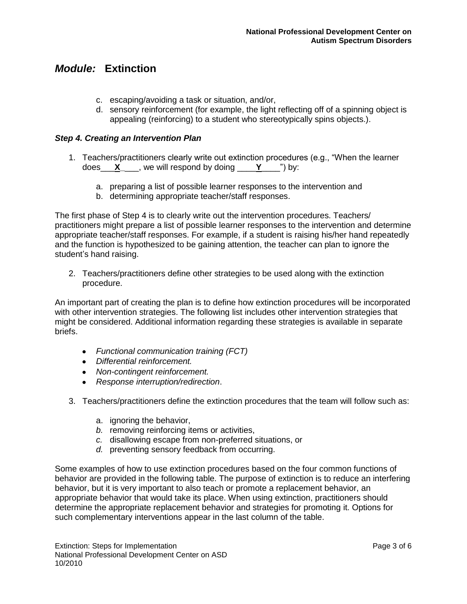- c. escaping/avoiding a task or situation, and/or,
- d. sensory reinforcement (for example, the light reflecting off of a spinning object is appealing (reinforcing) to a student who stereotypically spins objects.).

### *Step 4. Creating an Intervention Plan*

- 1. Teachers/practitioners clearly write out extinction procedures (e.g., "When the learner does\_\_\_**X\_**\_\_\_, we will respond by doing \_\_\_\_**Y**\_\_\_\_") by:
	- a. preparing a list of possible learner responses to the intervention and
	- b. determining appropriate teacher/staff responses.

The first phase of Step 4 is to clearly write out the intervention procedures. Teachers/ practitioners might prepare a list of possible learner responses to the intervention and determine appropriate teacher/staff responses. For example, if a student is raising his/her hand repeatedly and the function is hypothesized to be gaining attention, the teacher can plan to ignore the student's hand raising.

2. Teachers/practitioners define other strategies to be used along with the extinction procedure.

An important part of creating the plan is to define how extinction procedures will be incorporated with other intervention strategies. The following list includes other intervention strategies that might be considered. Additional information regarding these strategies is available in separate briefs.

- *Functional communication training (FCT)*
- *Differential reinforcement.*
- *Non-contingent reinforcement.*
- *Response interruption/redirection*.
- 3. Teachers/practitioners define the extinction procedures that the team will follow such as:
	- a. ignoring the behavior,
	- *b.* removing reinforcing items or activities,
	- *c.* disallowing escape from non-preferred situations, or
	- *d.* preventing sensory feedback from occurring.

Some examples of how to use extinction procedures based on the four common functions of behavior are provided in the following table. The purpose of extinction is to reduce an interfering behavior, but it is very important to also teach or promote a replacement behavior, an appropriate behavior that would take its place. When using extinction, practitioners should determine the appropriate replacement behavior and strategies for promoting it. Options for such complementary interventions appear in the last column of the table.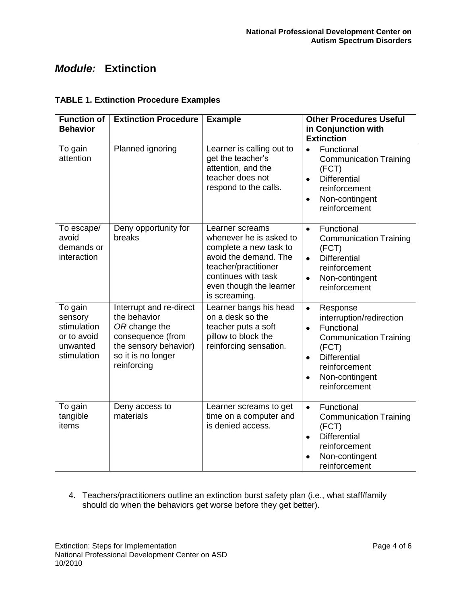### **TABLE 1. Extinction Procedure Examples**

| <b>Function of</b><br><b>Behavior</b>                                       | <b>Extinction Procedure</b>                                                                                                                 | <b>Example</b>                                                                                                                                                                           | <b>Other Procedures Useful</b><br>in Conjunction with<br><b>Extinction</b>                                                                                                                                                  |
|-----------------------------------------------------------------------------|---------------------------------------------------------------------------------------------------------------------------------------------|------------------------------------------------------------------------------------------------------------------------------------------------------------------------------------------|-----------------------------------------------------------------------------------------------------------------------------------------------------------------------------------------------------------------------------|
| To gain<br>attention                                                        | Planned ignoring                                                                                                                            | Learner is calling out to<br>get the teacher's<br>attention, and the<br>teacher does not<br>respond to the calls.                                                                        | Functional<br>$\bullet$<br><b>Communication Training</b><br>(FCT)<br><b>Differential</b><br>$\bullet$<br>reinforcement<br>Non-contingent<br>$\bullet$<br>reinforcement                                                      |
| To escape/<br>avoid<br>demands or<br>interaction                            | Deny opportunity for<br>breaks                                                                                                              | Learner screams<br>whenever he is asked to<br>complete a new task to<br>avoid the demand. The<br>teacher/practitioner<br>continues with task<br>even though the learner<br>is screaming. | Functional<br>$\bullet$<br><b>Communication Training</b><br>(FCT)<br><b>Differential</b><br>$\bullet$<br>reinforcement<br>$\bullet$<br>Non-contingent<br>reinforcement                                                      |
| To gain<br>sensory<br>stimulation<br>or to avoid<br>unwanted<br>stimulation | Interrupt and re-direct<br>the behavior<br>OR change the<br>consequence (from<br>the sensory behavior)<br>so it is no longer<br>reinforcing | Learner bangs his head<br>on a desk so the<br>teacher puts a soft<br>pillow to block the<br>reinforcing sensation.                                                                       | $\bullet$<br>Response<br>interruption/redirection<br>Functional<br>$\bullet$<br><b>Communication Training</b><br>(FCT)<br><b>Differential</b><br>$\bullet$<br>reinforcement<br>Non-contingent<br>$\bullet$<br>reinforcement |
| To gain<br>tangible<br>items                                                | Deny access to<br>materials                                                                                                                 | Learner screams to get<br>time on a computer and<br>is denied access.                                                                                                                    | Functional<br>$\bullet$<br><b>Communication Training</b><br>(FCT)<br><b>Differential</b><br>$\bullet$<br>reinforcement<br>Non-contingent<br>$\bullet$<br>reinforcement                                                      |

4. Teachers/practitioners outline an extinction burst safety plan (i.e., what staff/family should do when the behaviors get worse before they get better).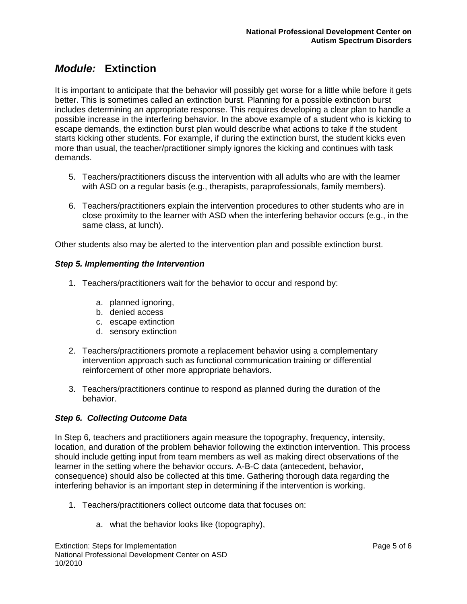It is important to anticipate that the behavior will possibly get worse for a little while before it gets better. This is sometimes called an extinction burst. Planning for a possible extinction burst includes determining an appropriate response. This requires developing a clear plan to handle a possible increase in the interfering behavior. In the above example of a student who is kicking to escape demands, the extinction burst plan would describe what actions to take if the student starts kicking other students. For example, if during the extinction burst, the student kicks even more than usual, the teacher/practitioner simply ignores the kicking and continues with task demands.

- 5. Teachers/practitioners discuss the intervention with all adults who are with the learner with ASD on a regular basis (e.g., therapists, paraprofessionals, family members).
- 6. Teachers/practitioners explain the intervention procedures to other students who are in close proximity to the learner with ASD when the interfering behavior occurs (e.g., in the same class, at lunch).

Other students also may be alerted to the intervention plan and possible extinction burst.

### *Step 5. Implementing the Intervention*

- 1. Teachers/practitioners wait for the behavior to occur and respond by:
	- a. planned ignoring,
	- b. denied access
	- c. escape extinction
	- d. sensory extinction
- 2. Teachers/practitioners promote a replacement behavior using a complementary intervention approach such as functional communication training or differential reinforcement of other more appropriate behaviors.
- 3. Teachers/practitioners continue to respond as planned during the duration of the behavior.

### *Step 6. Collecting Outcome Data*

In Step 6, teachers and practitioners again measure the topography, frequency, intensity, location, and duration of the problem behavior following the extinction intervention. This process should include getting input from team members as well as making direct observations of the learner in the setting where the behavior occurs. A-B-C data (antecedent, behavior, consequence) should also be collected at this time. Gathering thorough data regarding the interfering behavior is an important step in determining if the intervention is working.

- 1. Teachers/practitioners collect outcome data that focuses on:
	- a. what the behavior looks like (topography),